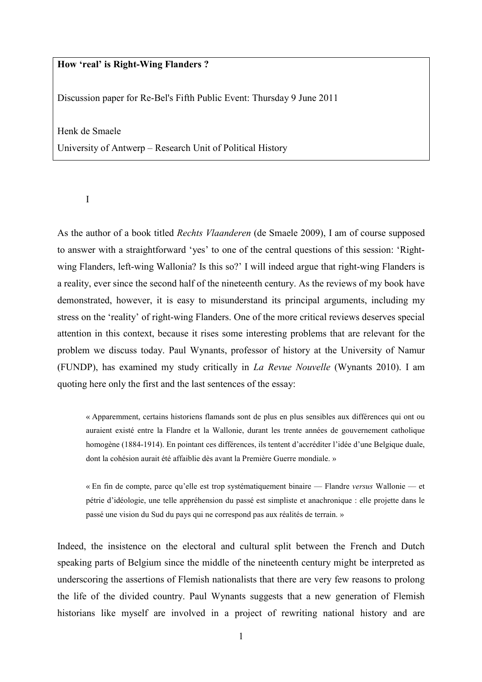## How 'real' is Right-Wing Flanders ?

Discussion paper for Re-Bel's Fifth Public Event: Thursday 9 June 2011

Henk de Smaele

University of Antwerp – Research Unit of Political History

I

As the author of a book titled Rechts Vlaanderen (de Smaele 2009), I am of course supposed to answer with a straightforward 'yes' to one of the central questions of this session: 'Rightwing Flanders, left-wing Wallonia? Is this so?' I will indeed argue that right-wing Flanders is a reality, ever since the second half of the nineteenth century. As the reviews of my book have demonstrated, however, it is easy to misunderstand its principal arguments, including my stress on the 'reality' of right-wing Flanders. One of the more critical reviews deserves special attention in this context, because it rises some interesting problems that are relevant for the problem we discuss today. Paul Wynants, professor of history at the University of Namur (FUNDP), has examined my study critically in La Revue Nouvelle (Wynants 2010). I am quoting here only the first and the last sentences of the essay:

« Apparemment, certains historiens flamands sont de plus en plus sensibles aux différences qui ont ou auraient existé entre la Flandre et la Wallonie, durant les trente années de gouvernement catholique homogène (1884-1914). En pointant ces différences, ils tentent d'accréditer l'idée d'une Belgique duale, dont la cohésion aurait été affaiblie dès avant la Première Guerre mondiale. »

« En fin de compte, parce qu'elle est trop systématiquement binaire — Flandre versus Wallonie — et pétrie d'idéologie, une telle appréhension du passé est simpliste et anachronique : elle projette dans le passé une vision du Sud du pays qui ne correspond pas aux réalités de terrain. »

Indeed, the insistence on the electoral and cultural split between the French and Dutch speaking parts of Belgium since the middle of the nineteenth century might be interpreted as underscoring the assertions of Flemish nationalists that there are very few reasons to prolong the life of the divided country. Paul Wynants suggests that a new generation of Flemish historians like myself are involved in a project of rewriting national history and are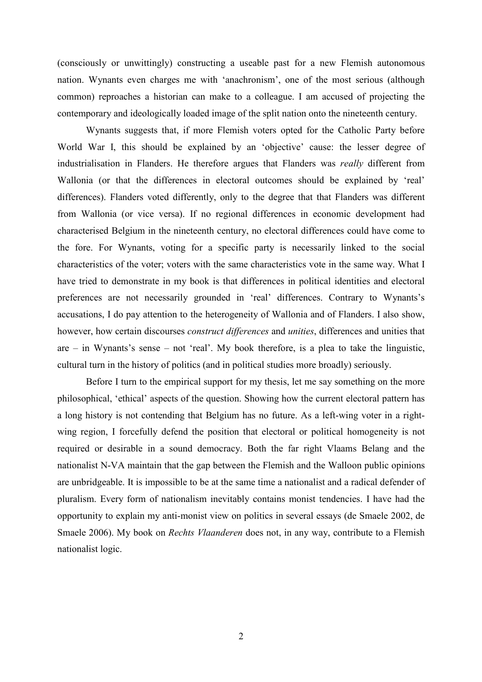(consciously or unwittingly) constructing a useable past for a new Flemish autonomous nation. Wynants even charges me with 'anachronism', one of the most serious (although common) reproaches a historian can make to a colleague. I am accused of projecting the contemporary and ideologically loaded image of the split nation onto the nineteenth century.

 Wynants suggests that, if more Flemish voters opted for the Catholic Party before World War I, this should be explained by an 'objective' cause: the lesser degree of industrialisation in Flanders. He therefore argues that Flanders was really different from Wallonia (or that the differences in electoral outcomes should be explained by 'real' differences). Flanders voted differently, only to the degree that that Flanders was different from Wallonia (or vice versa). If no regional differences in economic development had characterised Belgium in the nineteenth century, no electoral differences could have come to the fore. For Wynants, voting for a specific party is necessarily linked to the social characteristics of the voter; voters with the same characteristics vote in the same way. What I have tried to demonstrate in my book is that differences in political identities and electoral preferences are not necessarily grounded in 'real' differences. Contrary to Wynants's accusations, I do pay attention to the heterogeneity of Wallonia and of Flanders. I also show, however, how certain discourses *construct differences* and *unities*, differences and unities that are  $-$  in Wynants's sense  $-$  not 'real'. My book therefore, is a plea to take the linguistic, cultural turn in the history of politics (and in political studies more broadly) seriously.

 Before I turn to the empirical support for my thesis, let me say something on the more philosophical, 'ethical' aspects of the question. Showing how the current electoral pattern has a long history is not contending that Belgium has no future. As a left-wing voter in a rightwing region, I forcefully defend the position that electoral or political homogeneity is not required or desirable in a sound democracy. Both the far right Vlaams Belang and the nationalist N-VA maintain that the gap between the Flemish and the Walloon public opinions are unbridgeable. It is impossible to be at the same time a nationalist and a radical defender of pluralism. Every form of nationalism inevitably contains monist tendencies. I have had the opportunity to explain my anti-monist view on politics in several essays (de Smaele 2002, de Smaele 2006). My book on Rechts Vlaanderen does not, in any way, contribute to a Flemish nationalist logic.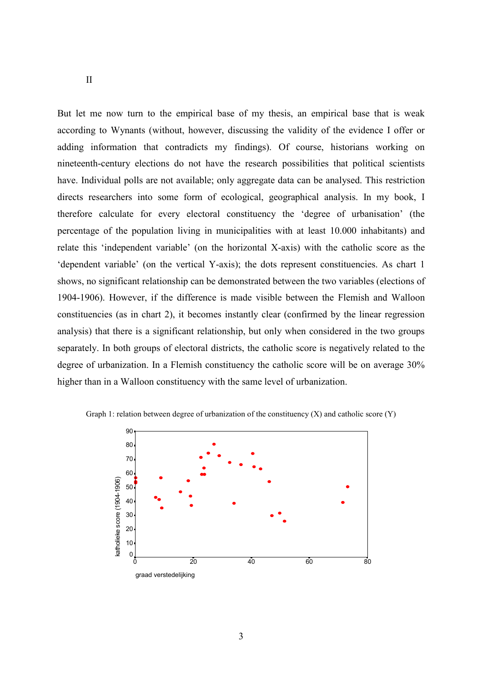But let me now turn to the empirical base of my thesis, an empirical base that is weak according to Wynants (without, however, discussing the validity of the evidence I offer or adding information that contradicts my findings). Of course, historians working on nineteenth-century elections do not have the research possibilities that political scientists have. Individual polls are not available; only aggregate data can be analysed. This restriction directs researchers into some form of ecological, geographical analysis. In my book, I therefore calculate for every electoral constituency the 'degree of urbanisation' (the percentage of the population living in municipalities with at least 10.000 inhabitants) and relate this 'independent variable' (on the horizontal X-axis) with the catholic score as the 'dependent variable' (on the vertical Y-axis); the dots represent constituencies. As chart 1 shows, no significant relationship can be demonstrated between the two variables (elections of 1904-1906). However, if the difference is made visible between the Flemish and Walloon constituencies (as in chart 2), it becomes instantly clear (confirmed by the linear regression analysis) that there is a significant relationship, but only when considered in the two groups separately. In both groups of electoral districts, the catholic score is negatively related to the degree of urbanization. In a Flemish constituency the catholic score will be on average 30% higher than in a Walloon constituency with the same level of urbanization.



Graph 1: relation between degree of urbanization of the constituency  $(X)$  and catholic score  $(Y)$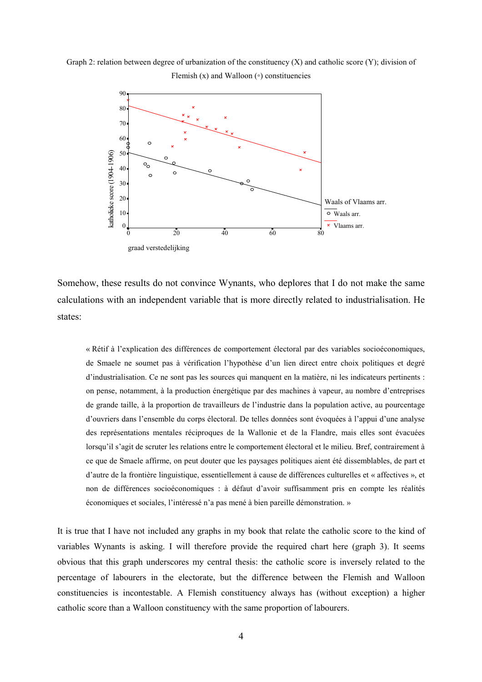Graph 2: relation between degree of urbanization of the constituency  $(X)$  and catholic score  $(Y)$ ; division of Flemish  $(x)$  and Walloon  $(∘)$  constituencies



Somehow, these results do not convince Wynants, who deplores that I do not make the same calculations with an independent variable that is more directly related to industrialisation. He states:

« Rétif à l'explication des différences de comportement électoral par des variables socioéconomiques, de Smaele ne soumet pas à vérification l'hypothèse d'un lien direct entre choix politiques et degré d'industrialisation. Ce ne sont pas les sources qui manquent en la matière, ni les indicateurs pertinents : on pense, notamment, à la production énergétique par des machines à vapeur, au nombre d'entreprises de grande taille, à la proportion de travailleurs de l'industrie dans la population active, au pourcentage d'ouvriers dans l'ensemble du corps électoral. De telles données sont évoquées à l'appui d'une analyse des représentations mentales réciproques de la Wallonie et de la Flandre, mais elles sont évacuées lorsqu'il s'agit de scruter les relations entre le comportement électoral et le milieu. Bref, contrairement à ce que de Smaele affirme, on peut douter que les paysages politiques aient été dissemblables, de part et d'autre de la frontière linguistique, essentiellement à cause de différences culturelles et « affectives », et non de différences socioéconomiques : à défaut d'avoir suffisamment pris en compte les réalités économiques et sociales, l'intéressé n'a pas mené à bien pareille démonstration. »

It is true that I have not included any graphs in my book that relate the catholic score to the kind of variables Wynants is asking. I will therefore provide the required chart here (graph 3). It seems obvious that this graph underscores my central thesis: the catholic score is inversely related to the percentage of labourers in the electorate, but the difference between the Flemish and Walloon constituencies is incontestable. A Flemish constituency always has (without exception) a higher catholic score than a Walloon constituency with the same proportion of labourers.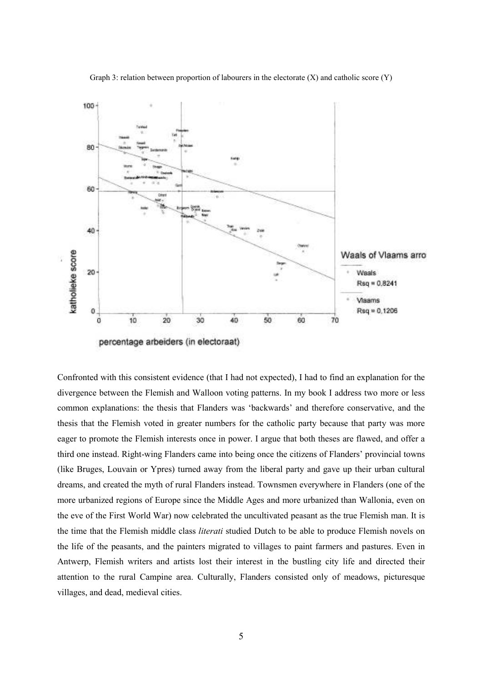

Graph 3: relation between proportion of labourers in the electorate  $(X)$  and catholic score  $(Y)$ 

Confronted with this consistent evidence (that I had not expected), I had to find an explanation for the divergence between the Flemish and Walloon voting patterns. In my book I address two more or less common explanations: the thesis that Flanders was 'backwards' and therefore conservative, and the thesis that the Flemish voted in greater numbers for the catholic party because that party was more eager to promote the Flemish interests once in power. I argue that both theses are flawed, and offer a third one instead. Right-wing Flanders came into being once the citizens of Flanders' provincial towns (like Bruges, Louvain or Ypres) turned away from the liberal party and gave up their urban cultural dreams, and created the myth of rural Flanders instead. Townsmen everywhere in Flanders (one of the more urbanized regions of Europe since the Middle Ages and more urbanized than Wallonia, even on the eve of the First World War) now celebrated the uncultivated peasant as the true Flemish man. It is the time that the Flemish middle class literati studied Dutch to be able to produce Flemish novels on the life of the peasants, and the painters migrated to villages to paint farmers and pastures. Even in Antwerp, Flemish writers and artists lost their interest in the bustling city life and directed their attention to the rural Campine area. Culturally, Flanders consisted only of meadows, picturesque villages, and dead, medieval cities.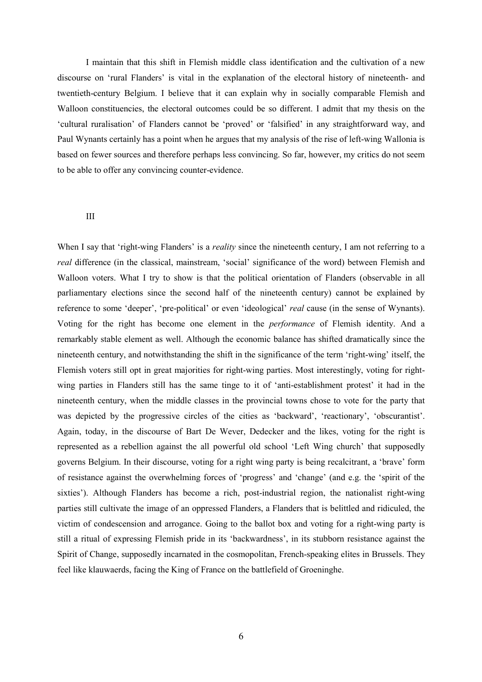I maintain that this shift in Flemish middle class identification and the cultivation of a new discourse on 'rural Flanders' is vital in the explanation of the electoral history of nineteenth- and twentieth-century Belgium. I believe that it can explain why in socially comparable Flemish and Walloon constituencies, the electoral outcomes could be so different. I admit that my thesis on the 'cultural ruralisation' of Flanders cannot be 'proved' or 'falsified' in any straightforward way, and Paul Wynants certainly has a point when he argues that my analysis of the rise of left-wing Wallonia is based on fewer sources and therefore perhaps less convincing. So far, however, my critics do not seem to be able to offer any convincing counter-evidence.

## III

When I say that 'right-wing Flanders' is a *reality* since the nineteenth century, I am not referring to a real difference (in the classical, mainstream, 'social' significance of the word) between Flemish and Walloon voters. What I try to show is that the political orientation of Flanders (observable in all parliamentary elections since the second half of the nineteenth century) cannot be explained by reference to some 'deeper', 'pre-political' or even 'ideological' real cause (in the sense of Wynants). Voting for the right has become one element in the performance of Flemish identity. And a remarkably stable element as well. Although the economic balance has shifted dramatically since the nineteenth century, and notwithstanding the shift in the significance of the term 'right-wing' itself, the Flemish voters still opt in great majorities for right-wing parties. Most interestingly, voting for rightwing parties in Flanders still has the same tinge to it of 'anti-establishment protest' it had in the nineteenth century, when the middle classes in the provincial towns chose to vote for the party that was depicted by the progressive circles of the cities as 'backward', 'reactionary', 'obscurantist'. Again, today, in the discourse of Bart De Wever, Dedecker and the likes, voting for the right is represented as a rebellion against the all powerful old school 'Left Wing church' that supposedly governs Belgium. In their discourse, voting for a right wing party is being recalcitrant, a 'brave' form of resistance against the overwhelming forces of 'progress' and 'change' (and e.g. the 'spirit of the sixties'). Although Flanders has become a rich, post-industrial region, the nationalist right-wing parties still cultivate the image of an oppressed Flanders, a Flanders that is belittled and ridiculed, the victim of condescension and arrogance. Going to the ballot box and voting for a right-wing party is still a ritual of expressing Flemish pride in its 'backwardness', in its stubborn resistance against the Spirit of Change, supposedly incarnated in the cosmopolitan, French-speaking elites in Brussels. They feel like klauwaerds, facing the King of France on the battlefield of Groeninghe.